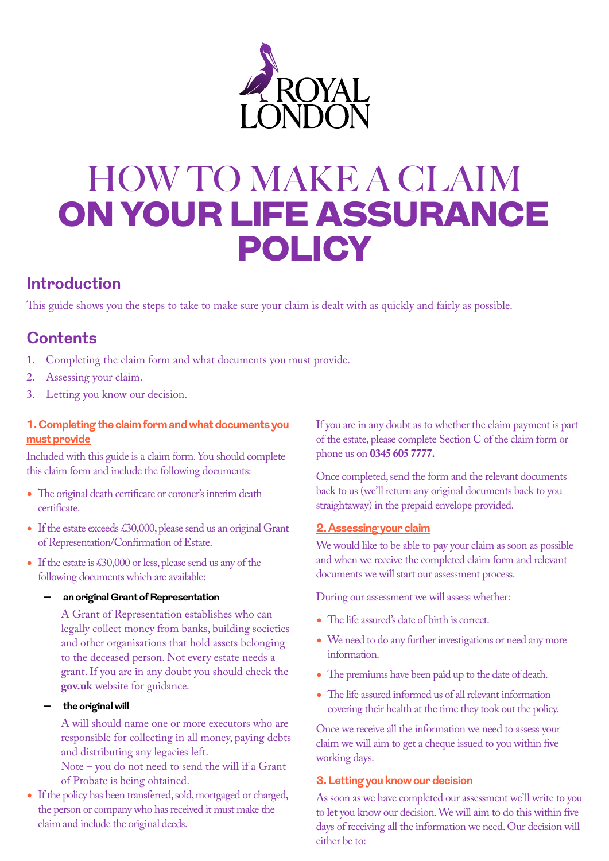

# HOW TO MAKE A CLAIM ON YOUR LIFE ASSURANCE POLICY

# **Introduction**

This guide shows you the steps to take to make sure your claim is dealt with as quickly and fairly as possible.

# **Contents**

- 1. Completing the claim form and what documents you must provide.
- 2. Assessing your claim.
- 3. Letting you know our decision.

# **1. Completing the claim form and what documents you must provide**

Included with this guide is a claim form. You should complete this claim form and include the following documents:

- The original death certificate or coroner's interim death certificate.
- If the estate exceeds £30,000, please send us an original Grant of Representation/Confirmation of Estate.
- If the estate is £30,000 or less, please send us any of the following documents which are available:

#### **– an original Grant of Representation**

A Grant of Representation establishes who can legally collect money from banks, building societies and other organisations that hold assets belonging to the deceased person. Not every estate needs a grant. If you are in any doubt you should check the **[gov.uk](http://gov.uk)** website for guidance.

**– the original will**

A will should name one or more executors who are responsible for collecting in all money, paying debts and distributing any legacies left.

Note – you do not need to send the will if a Grant of Probate is being obtained.

• If the policy has been transferred, sold, mortgaged or charged, the person or company who has received it must make the claim and include the original deeds.

If you are in any doubt as to whether the claim payment is part of the estate, please complete Section C of the claim form or phone us on **0345 605 7777.**

Once completed, send the form and the relevant documents back to us (we'll return any original documents back to you straightaway) in the prepaid envelope provided.

# **2. Assessing your claim**

We would like to be able to pay your claim as soon as possible and when we receive the completed claim form and relevant documents we will start our assessment process.

During our assessment we will assess whether:

- The life assured's date of birth is correct.
- We need to do any further investigations or need any more information.
- The premiums have been paid up to the date of death.
- The life assured informed us of all relevant information covering their health at the time they took out the policy.

Once we receive all the information we need to assess your claim we will aim to get a cheque issued to you within five working days.

# **3. Letting you know our decision**

As soon as we have completed our assessment we'll write to you to let you know our decision. We will aim to do this within five days of receiving all the information we need. Our decision will either be to: